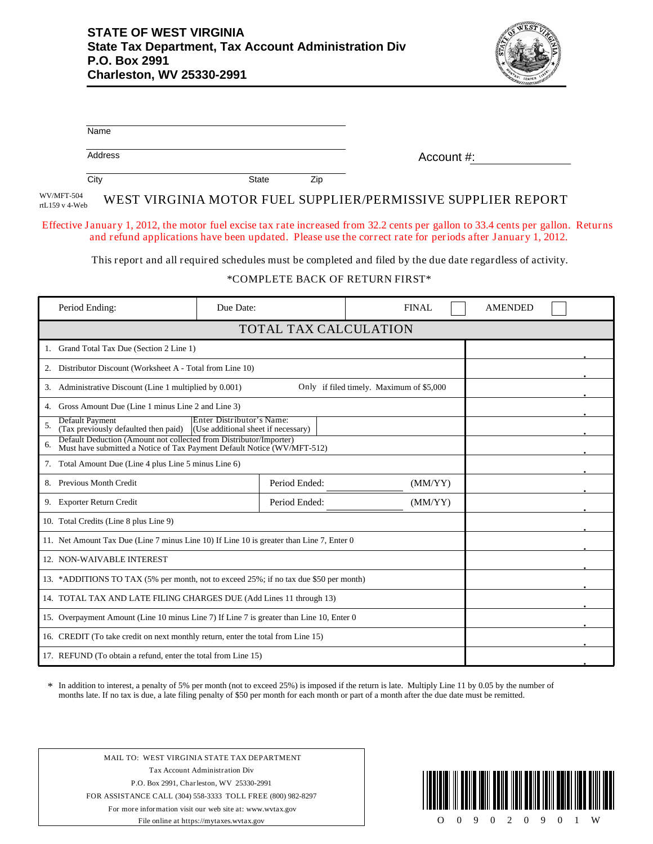

| Name                                                                                                                                                |                       |                                                                                                            |                |  |  |  |  |  |
|-----------------------------------------------------------------------------------------------------------------------------------------------------|-----------------------|------------------------------------------------------------------------------------------------------------|----------------|--|--|--|--|--|
| Address                                                                                                                                             |                       | Account #:                                                                                                 |                |  |  |  |  |  |
| City                                                                                                                                                | <b>State</b><br>Zip   |                                                                                                            |                |  |  |  |  |  |
| WV/MFT-504<br>rtL159 v 4-Web                                                                                                                        |                       | WEST VIRGINIA MOTOR FUEL SUPPLIER/PERMISSIVE SUPPLIER REPORT                                               |                |  |  |  |  |  |
| Effective January 1, 2012, the motor fuel excise tax rate increased from 32.2 cents per gallon to 33.4 cents per gallon. Returns                    |                       | and refund applications have been updated. Please use the correct rate for periods after January 1, 2012.  |                |  |  |  |  |  |
|                                                                                                                                                     |                       | This report and all required schedules must be completed and filed by the due date regardless of activity. |                |  |  |  |  |  |
| *COMPLETE BACK OF RETURN FIRST*                                                                                                                     |                       |                                                                                                            |                |  |  |  |  |  |
| Period Ending:                                                                                                                                      | Due Date:             | FINAL                                                                                                      | <b>AMENDED</b> |  |  |  |  |  |
|                                                                                                                                                     | TOTAL TAX CALCULATION |                                                                                                            |                |  |  |  |  |  |
| 1. Grand Total Tax Due (Section 2 Line 1)                                                                                                           |                       |                                                                                                            |                |  |  |  |  |  |
| 2. Distributor Discount (Worksheet A - Total from Line 10)                                                                                          |                       |                                                                                                            |                |  |  |  |  |  |
| 3. Administrative Discount (Line 1 multiplied by 0.001)                                                                                             |                       |                                                                                                            |                |  |  |  |  |  |
| 4. Gross Amount Due (Line 1 minus Line 2 and Line 3)                                                                                                |                       |                                                                                                            |                |  |  |  |  |  |
| Default Payment<br>Enter Distributor's Name:<br>5.<br>(Tax previously defaulted then paid)<br>(Use additional sheet if necessary)                   |                       |                                                                                                            |                |  |  |  |  |  |
| Default Deduction (Amount not collected from Distributor/Importer)<br>6.<br>Must have submitted a Notice of Tax Payment Default Notice (WV/MFT-512) |                       |                                                                                                            |                |  |  |  |  |  |
| 7. Total Amount Due (Line 4 plus Line 5 minus Line 6)                                                                                               |                       |                                                                                                            |                |  |  |  |  |  |
| 8. Previous Month Credit                                                                                                                            | Period Ended:         | (MM/YY)                                                                                                    |                |  |  |  |  |  |
| 9. Exporter Return Credit                                                                                                                           | Period Ended:         | (MM/YY)                                                                                                    |                |  |  |  |  |  |
| 10. Total Credits (Line 8 plus Line 9)                                                                                                              |                       |                                                                                                            |                |  |  |  |  |  |
| 11. Net Amount Tax Due (Line 7 minus Line 10) If Line 10 is greater than Line 7, Enter 0                                                            |                       |                                                                                                            |                |  |  |  |  |  |
| 12. NON-WAIVABLE INTEREST                                                                                                                           |                       |                                                                                                            |                |  |  |  |  |  |
| 13. *ADDITIONS TO TAX (5% per month, not to exceed 25%; if no tax due \$50 per month)                                                               |                       |                                                                                                            |                |  |  |  |  |  |
| 14. TOTAL TAX AND LATE FILING CHARGES DUE (Add Lines 11 through 13)                                                                                 |                       |                                                                                                            |                |  |  |  |  |  |
| 15. Overpayment Amount (Line 10 minus Line 7) If Line 7 is greater than Line 10, Enter 0                                                            |                       |                                                                                                            |                |  |  |  |  |  |
| 16. CREDIT (To take credit on next monthly return, enter the total from Line 15)                                                                    |                       |                                                                                                            |                |  |  |  |  |  |
| 17. REFUND (To obtain a refund, enter the total from Line 15)                                                                                       |                       |                                                                                                            |                |  |  |  |  |  |

In addition to interest, a penalty of 5% per month (not to exceed 25%) is imposed if the return is late. Multiply Line 11 by 0.05 by the number of months late. If no tax is due, a late filing penalty of \$50 per month for each month or part of a month after the due date must be remitted. \*

MAIL TO: WEST VIRGINIA STATE TAX DEPARTMENT Tax Account Administration Div P.O. Box 2991, Charleston, WV 25330-2991 FOR ASSISTANCE CALL (304) 558-3333 TOLL FREE (800) 982-8297 For more information visit our web site at: www.wvtax.gov File online at https://mytaxes.wvtax.gov